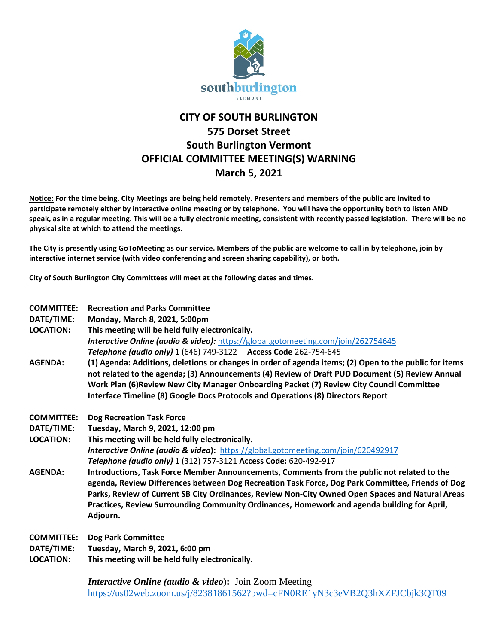

## **CITY OF SOUTH BURLINGTON 575 Dorset Street South Burlington Vermont OFFICIAL COMMITTEE MEETING(S) WARNING March 5, 2021**

**Notice: For the time being, City Meetings are being held remotely. Presenters and members of the public are invited to participate remotely either by interactive online meeting or by telephone. You will have the opportunity both to listen AND speak, as in a regular meeting. This will be a fully electronic meeting, consistent with recently passed legislation. There will be no physical site at which to attend the meetings.** 

**The City is presently using GoToMeeting as our service. Members of the public are welcome to call in by telephone, join by interactive internet service (with video conferencing and screen sharing capability), or both.**

**City of South Burlington City Committees will meet at the following dates and times.** 

| <b>COMMITTEE:</b><br>DATE/TIME:<br><b>LOCATION:</b> | <b>Recreation and Parks Committee</b><br>Monday, March 8, 2021, 5:00pm<br>This meeting will be held fully electronically.<br><b>Interactive Online (audio &amp; video):</b> https://global.gotomeeting.com/join/262754645<br>Telephone (audio only) 1 (646) 749-3122 Access Code 262-754-645                                                                                                                   |
|-----------------------------------------------------|----------------------------------------------------------------------------------------------------------------------------------------------------------------------------------------------------------------------------------------------------------------------------------------------------------------------------------------------------------------------------------------------------------------|
| <b>AGENDA:</b>                                      | (1) Agenda: Additions, deletions or changes in order of agenda items; (2) Open to the public for items<br>not related to the agenda; (3) Announcements (4) Review of Draft PUD Document (5) Review Annual<br>Work Plan (6) Review New City Manager Onboarding Packet (7) Review City Council Committee<br>Interface Timeline (8) Google Docs Protocols and Operations (8) Directors Report                     |
| <b>COMMITTEE:</b>                                   | <b>Dog Recreation Task Force</b>                                                                                                                                                                                                                                                                                                                                                                               |
| DATE/TIME:                                          | Tuesday, March 9, 2021, 12:00 pm                                                                                                                                                                                                                                                                                                                                                                               |
| <b>LOCATION:</b>                                    | This meeting will be held fully electronically.                                                                                                                                                                                                                                                                                                                                                                |
|                                                     | <b>Interactive Online (audio &amp; video):</b> https://global.gotomeeting.com/join/620492917                                                                                                                                                                                                                                                                                                                   |
|                                                     | Telephone (audio only) 1 (312) 757-3121 Access Code: 620-492-917                                                                                                                                                                                                                                                                                                                                               |
| <b>AGENDA:</b>                                      | Introductions, Task Force Member Announcements, Comments from the public not related to the<br>agenda, Review Differences between Dog Recreation Task Force, Dog Park Committee, Friends of Dog<br>Parks, Review of Current SB City Ordinances, Review Non-City Owned Open Spaces and Natural Areas<br>Practices, Review Surrounding Community Ordinances, Homework and agenda building for April,<br>Adjourn. |
| <b>COMMITTEE:</b>                                   | <b>Dog Park Committee</b>                                                                                                                                                                                                                                                                                                                                                                                      |
| DATE/TIME:                                          | Tuesday, March 9, 2021, 6:00 pm                                                                                                                                                                                                                                                                                                                                                                                |
| <b>LOCATION:</b>                                    | This meeting will be held fully electronically.                                                                                                                                                                                                                                                                                                                                                                |

*Interactive Online (audio & video***):** Join Zoom Meeting <https://us02web.zoom.us/j/82381861562?pwd=cFN0RE1yN3c3eVB2Q3hXZFJCbjk3QT09>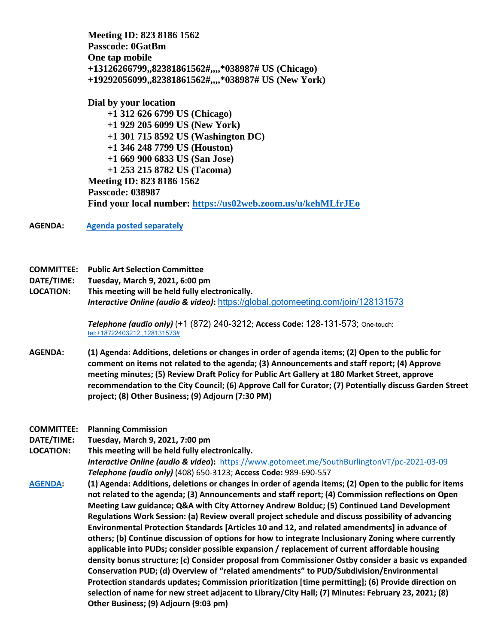**Meeting ID: 823 8186 1562 Passcode: 0GatBm One tap mobile +13126266799,,82381861562#,,,,\*038987# US (Chicago) +19292056099,,82381861562#,,,,\*038987# US (New York)** 

**Dial by your location +1 312 626 6799 US (Chicago) +1 929 205 6099 US (New York) +1 301 715 8592 US (Washington DC) +1 346 248 7799 US (Houston) +1 669 900 6833 US (San Jose) +1 253 215 8782 US (Tacoma) Meeting ID: 823 8186 1562 Passcode: 038987 Find your local number:<https://us02web.zoom.us/u/kehMLfrJEo>**

**AGENDA: [Agenda posted separately](https://sbvt-records.info/WebLink/DocView.aspx?id=215390&dbid=0&repo=sburl)**

## **COMMITTEE: Public Art Selection Committee**

- **DATE/TIME: Tuesday, March 9, 2021, 6:00 pm**
- **LOCATION: This meeting will be held fully electronically.** *Interactive Online (audio & video)***:** <https://global.gotomeeting.com/join/128131573>

*Telephone (audio only)* (+1 (872) 240-3212; **Access Code:** 128-131-573; One-touch: [tel:+18722403212,,128131573#](tel:+18722403212,,128131573)

- **AGENDA: (1) Agenda: Additions, deletions or changes in order of agenda items; (2) Open to the public for comment on items not related to the agenda; (3) Announcements and staff report; (4) Approve meeting minutes; (5) Review Draft Policy for Public Art Gallery at 180 Market Street, approve recommendation to the City Council; (6) Approve Call for Curator; (7) Potentially discuss Garden Street project; (8) Other Business; (9) Adjourn (7:30 PM)**
- **COMMITTEE: Planning Commission**
- **DATE/TIME: Tuesday, March 9, 2021, 7:00 pm**

**LOCATION: This meeting will be held fully electronically.** *Interactive Online (audio & video***):** <https://www.gotomeet.me/SouthBurlingtonVT/pc-2021-03-09> *Telephone (audio only)* (408) 650-3123; **Access Code:** 989-690-557

**[AGENDA:](https://sbvt-records.info/WebLink/DocView.aspx?id=215389&dbid=0&repo=sburl) (1) Agenda: Additions, deletions or changes in order of agenda items; (2) Open to the public for items not related to the agenda; (3) Announcements and staff report; (4) Commission reflections on Open Meeting Law guidance; Q&A with City Attorney Andrew Bolduc; (5) Continued Land Development Regulations Work Session: (a) Review overall project schedule and discuss possibility of advancing Environmental Protection Standards [Articles 10 and 12, and related amendments] in advance of others; (b) Continue discussion of options for how to integrate Inclusionary Zoning where currently applicable into PUDs; consider possible expansion / replacement of current affordable housing density bonus structure; (c) Consider proposal from Commissioner Ostby consider a basic vs expanded Conservation PUD; (d) Overview of "related amendments" to PUD/Subdivision/Environmental Protection standards updates; Commission prioritization [time permitting]; (6) Provide direction on selection of name for new street adjacent to Library/City Hall; (7) Minutes: February 23, 2021; (8) Other Business; (9) Adjourn (9:03 pm)**